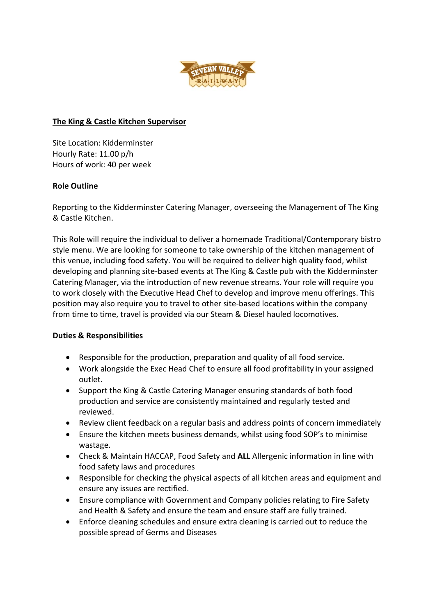

## **The King & Castle Kitchen Supervisor**

Site Location: Kidderminster Hourly Rate: 11.00 p/h Hours of work: 40 per week

# **Role Outline**

Reporting to the Kidderminster Catering Manager, overseeing the Management of The King & Castle Kitchen.

This Role will require the individual to deliver a homemade Traditional/Contemporary bistro style menu. We are looking for someone to take ownership of the kitchen management of this venue, including food safety. You will be required to deliver high quality food, whilst developing and planning site-based events at The King & Castle pub with the Kidderminster Catering Manager, via the introduction of new revenue streams. Your role will require you to work closely with the Executive Head Chef to develop and improve menu offerings. This position may also require you to travel to other site-based locations within the company from time to time, travel is provided via our Steam & Diesel hauled locomotives.

# **Duties & Responsibilities**

- Responsible for the production, preparation and quality of all food service.
- Work alongside the Exec Head Chef to ensure all food profitability in your assigned outlet.
- Support the King & Castle Catering Manager ensuring standards of both food production and service are consistently maintained and regularly tested and reviewed.
- Review client feedback on a regular basis and address points of concern immediately
- Ensure the kitchen meets business demands, whilst using food SOP's to minimise wastage.
- Check & Maintain HACCAP, Food Safety and **ALL** Allergenic information in line with food safety laws and procedures
- Responsible for checking the physical aspects of all kitchen areas and equipment and ensure any issues are rectified.
- Ensure compliance with Government and Company policies relating to Fire Safety and Health & Safety and ensure the team and ensure staff are fully trained.
- Enforce cleaning schedules and ensure extra cleaning is carried out to reduce the possible spread of Germs and Diseases